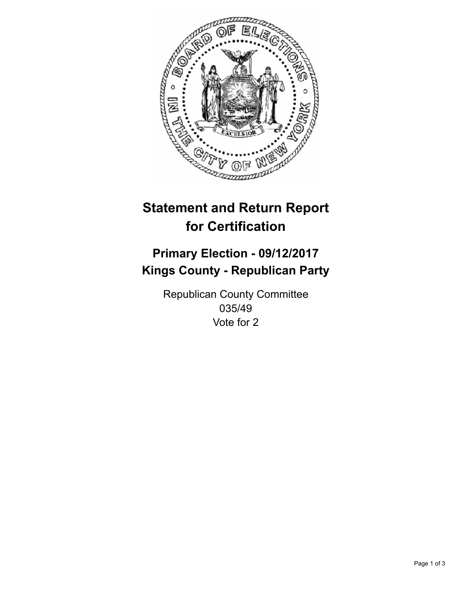

## **Statement and Return Report for Certification**

## **Primary Election - 09/12/2017 Kings County - Republican Party**

Republican County Committee 035/49 Vote for 2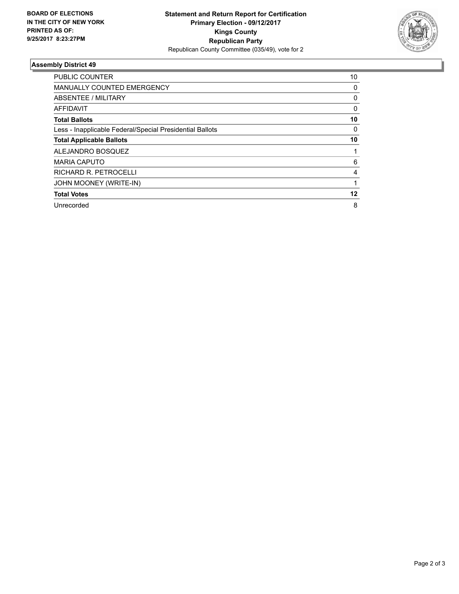

## **Assembly District 49**

| <b>PUBLIC COUNTER</b>                                    | 10 |
|----------------------------------------------------------|----|
| <b>MANUALLY COUNTED EMERGENCY</b>                        | 0  |
| ABSENTEE / MILITARY                                      | 0  |
| AFFIDAVIT                                                | 0  |
| <b>Total Ballots</b>                                     | 10 |
| Less - Inapplicable Federal/Special Presidential Ballots | 0  |
| <b>Total Applicable Ballots</b>                          | 10 |
| ALEJANDRO BOSQUEZ                                        |    |
| <b>MARIA CAPUTO</b>                                      | 6  |
| RICHARD R. PETROCELLI                                    | 4  |
| JOHN MOONEY (WRITE-IN)                                   |    |
| <b>Total Votes</b>                                       | 12 |
| Unrecorded                                               | 8  |